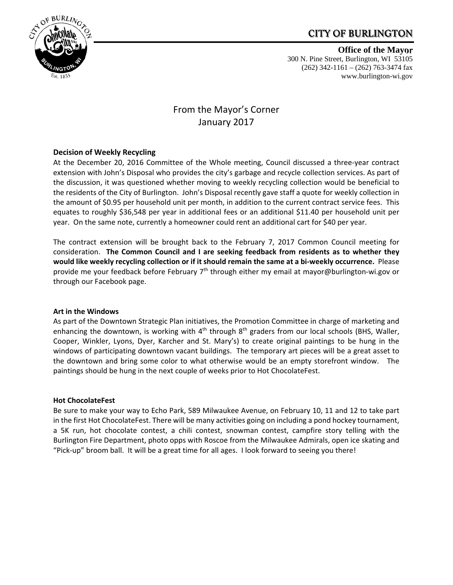## CITY OF BURLINGTON



**Office of the Mayor** 300 N. Pine Street, Burlington, WI 53105 (262) 342-1161 – (262) 763-3474 fax www.burlington-wi.gov

# From the Mayor's Corner January 2017

## **Decision of Weekly Recycling**

At the December 20, 2016 Committee of the Whole meeting, Council discussed a three‐year contract extension with John's Disposal who provides the city's garbage and recycle collection services. As part of the discussion, it was questioned whether moving to weekly recycling collection would be beneficial to the residents of the City of Burlington. John's Disposal recently gave staff a quote for weekly collection in the amount of \$0.95 per household unit per month, in addition to the current contract service fees. This equates to roughly \$36,548 per year in additional fees or an additional \$11.40 per household unit per year. On the same note, currently a homeowner could rent an additional cart for \$40 per year.

The contract extension will be brought back to the February 7, 2017 Common Council meeting for consideration. **The Common Council and I are seeking feedback from residents as to whether they** would like weekly recycling collection or if it should remain the same at a bi-weekly occurrence. Please provide me your feedback before February 7<sup>th</sup> through either my email at mayor@burlington-wi.gov or through our Facebook page.

#### **Art in the Windows**

As part of the Downtown Strategic Plan initiatives, the Promotion Committee in charge of marketing and enhancing the downtown, is working with  $4<sup>th</sup>$  through  $8<sup>th</sup>$  graders from our local schools (BHS, Waller, Cooper, Winkler, Lyons, Dyer, Karcher and St. Mary's) to create original paintings to be hung in the windows of participating downtown vacant buildings. The temporary art pieces will be a great asset to the downtown and bring some color to what otherwise would be an empty storefront window. The paintings should be hung in the next couple of weeks prior to Hot ChocolateFest.

#### **Hot ChocolateFest**

Be sure to make your way to Echo Park, 589 Milwaukee Avenue, on February 10, 11 and 12 to take part in the first Hot ChocolateFest. There will be many activities going on including a pond hockey tournament, a 5K run, hot chocolate contest, a chili contest, snowman contest, campfire story telling with the Burlington Fire Department, photo opps with Roscoe from the Milwaukee Admirals, open ice skating and "Pick‐up" broom ball. It will be a great time for all ages. I look forward to seeing you there!